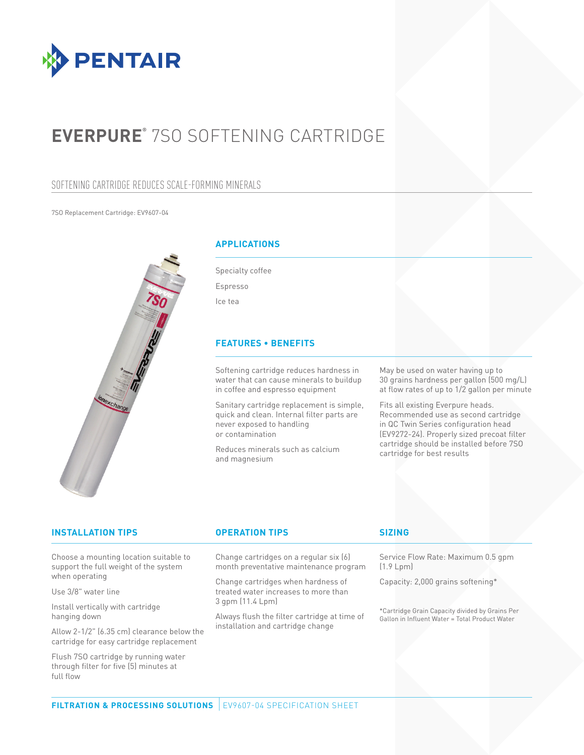

# **EVERPURE®** 7SO SOFTENING CARTRIDGE

### SOFTENING CARTRIDGE REDUCES SCALE-FORMING MINERALS

7SO Replacement Cartridge: EV9607-04



### **APPLICATIONS**

Specialty coffee Espresso Ice tea

### **FEATURES • BENEFITS**

Softening cartridge reduces hardness in water that can cause minerals to buildup in coffee and espresso equipment

Sanitary cartridge replacement is simple, quick and clean. Internal filter parts are never exposed to handling or contamination

Reduces minerals such as calcium and magnesium

May be used on water having up to 30 grains hardness per gallon (500 mg/L) at flow rates of up to 1/2 gallon per minute

Fits all existing Everpure heads. Recommended use as second cartridge in QC Twin Series configuration head (EV9272-24). Properly sized precoat filter cartridge should be installed before 7SO cartridge for best results

| <b>INSTALLATION TIPS</b>               | <b>OPERATION TIPS</b>                                                      | <b>SIZING</b>                                                                                                                                                     |
|----------------------------------------|----------------------------------------------------------------------------|-------------------------------------------------------------------------------------------------------------------------------------------------------------------|
| Choose a mounting location suitable to | Change cartridges on a regular six (6)                                     | Service Flow Rate: Maximum 0.5 gpm                                                                                                                                |
| support the full weight of the system  | month preventative maintenance program                                     | (1.9 Lpm)                                                                                                                                                         |
| when operating<br>Use 3/8" water line  | Change cartridges when hardness of<br>treated water increases to more than | Capacity: 2,000 grains softening*                                                                                                                                 |
| Install vertically with cartridge      | 3 gpm (11.4 Lpm)                                                           | *Cartridge Grain Capacity divided by Grains Per                                                                                                                   |
| hanging down                           | Always flush the filter cartridge at time of                               | $\bigcap$ . If $\bigcup_{i=1}^n \bigcup_{i=1}^n f(x_i)$ is a $\bigcup_{i=1}^n \bigcup_{i=1}^n f(x_i)$ if $\bigcap_{i=1}^n \bigcup_{i=1}^n \bigcup_{i=1}^n f(x_i)$ |

hanging down

Allow 2-1/2" (6.35 cm) clearance below the cartridge for easy cartridge replacement

Flush 7SO cartridge by running water through filter for five (5) minutes at full flow

Always flush the filter cartridge at time of installation and cartridge change

on in Influent Water